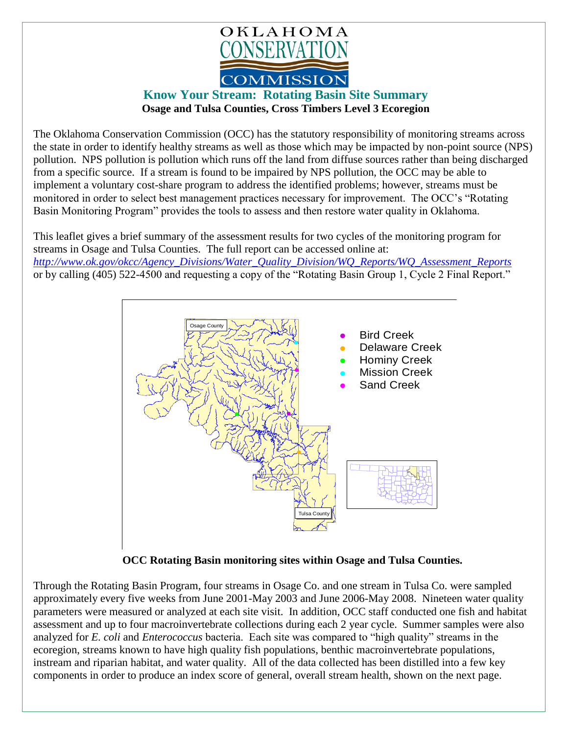

## **Know Your Stream: Rotating Basin Site Summary Osage and Tulsa Counties, Cross Timbers Level 3 Ecoregion**

The Oklahoma Conservation Commission (OCC) has the statutory responsibility of monitoring streams across the state in order to identify healthy streams as well as those which may be impacted by non-point source (NPS) pollution. NPS pollution is pollution which runs off the land from diffuse sources rather than being discharged from a specific source. If a stream is found to be impaired by NPS pollution, the OCC may be able to implement a voluntary cost-share program to address the identified problems; however, streams must be monitored in order to select best management practices necessary for improvement. The OCC's "Rotating Basin Monitoring Program" provides the tools to assess and then restore water quality in Oklahoma.

This leaflet gives a brief summary of the assessment results for two cycles of the monitoring program for streams in Osage and Tulsa Counties. The full report can be accessed online at: *[http://www.ok.gov/okcc/Agency\\_Divisions/Water\\_Quality\\_Division/WQ\\_Reports/WQ\\_Assessment\\_Reports](http://www.ok.gov/okcc/Agency_Divisions/Water_Quality_Division/WQ_Reports/WQ_Assessment_Reports)* or by calling (405) 522-4500 and requesting a copy of the "Rotating Basin Group 1, Cycle 2 Final Report."



 **OCC Rotating Basin monitoring sites within Osage and Tulsa Counties.**

Through the Rotating Basin Program, four streams in Osage Co. and one stream in Tulsa Co. were sampled approximately every five weeks from June 2001-May 2003 and June 2006-May 2008. Nineteen water quality parameters were measured or analyzed at each site visit. In addition, OCC staff conducted one fish and habitat assessment and up to four macroinvertebrate collections during each 2 year cycle. Summer samples were also analyzed for *E. coli* and *Enterococcus* bacteria. Each site was compared to "high quality" streams in the ecoregion, streams known to have high quality fish populations, benthic macroinvertebrate populations, instream and riparian habitat, and water quality. All of the data collected has been distilled into a few key components in order to produce an index score of general, overall stream health, shown on the next page.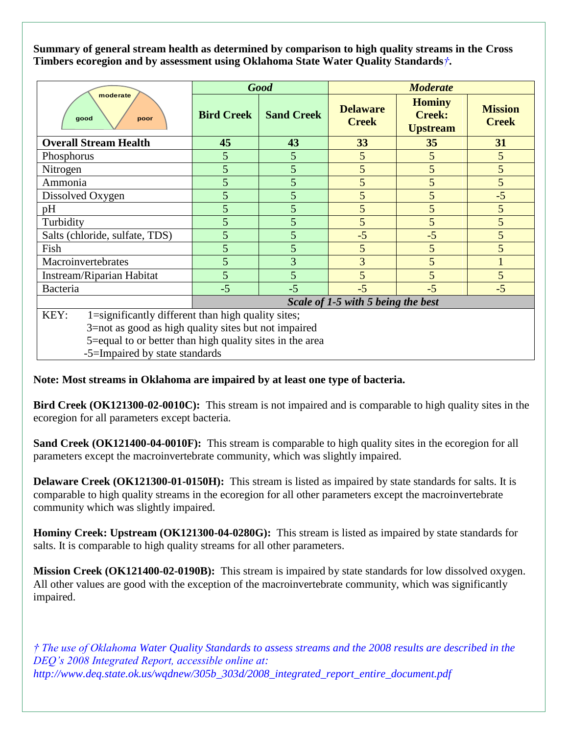**Summary of general stream health as determined by comparison to high quality streams in the Cross Timbers ecoregion and by assessment using Oklahoma State Water Quality Standards***†***.**

| moderate<br>good<br>poor                                   | <b>Good</b>                        |                   | <b>Moderate</b>                 |                                                   |                                |
|------------------------------------------------------------|------------------------------------|-------------------|---------------------------------|---------------------------------------------------|--------------------------------|
|                                                            | <b>Bird Creek</b>                  | <b>Sand Creek</b> | <b>Delaware</b><br><b>Creek</b> | <b>Hominy</b><br><b>Creek:</b><br><b>Upstream</b> | <b>Mission</b><br><b>Creek</b> |
| <b>Overall Stream Health</b>                               | 45                                 | 43                | 33                              | 35                                                | 31                             |
| Phosphorus                                                 | 5                                  | 5                 | 5                               | 5                                                 | 5                              |
| Nitrogen                                                   | 5                                  | 5                 | 5                               | 5                                                 | 5                              |
| Ammonia                                                    | 5                                  | 5                 | 5                               | 5                                                 | 5                              |
| Dissolved Oxygen                                           | 5                                  | 5                 | 5                               | 5                                                 | $-5$                           |
| pH                                                         | 5                                  | 5                 | 5                               | 5                                                 | $5\overline{)}$                |
| Turbidity                                                  | 5                                  | 5                 | 5                               | 5                                                 | 5                              |
| Salts (chloride, sulfate, TDS)                             | 5                                  | 5                 | $-5$                            | $-5$                                              | 5                              |
| Fish                                                       | 5                                  | 5                 | 5                               | 5                                                 | 5                              |
| Macroinvertebrates                                         | 5                                  | 3                 | 3                               | 5                                                 |                                |
| Instream/Riparian Habitat                                  | 5                                  | 5                 | 5                               | 5                                                 | 5                              |
| Bacteria                                                   | $-5$                               | $-5$              | $-5$                            | $-5$                                              | $-5$                           |
|                                                            | Scale of 1-5 with 5 being the best |                   |                                 |                                                   |                                |
| KEY:<br>1=significantly different than high quality sites; |                                    |                   |                                 |                                                   |                                |
| 3=not as good as high quality sites but not impaired       |                                    |                   |                                 |                                                   |                                |
| 5=equal to or better than high quality sites in the area   |                                    |                   |                                 |                                                   |                                |

-5=Impaired by state standards

## **Note: Most streams in Oklahoma are impaired by at least one type of bacteria.**

**Bird Creek (OK121300-02-0010C):** This stream is not impaired and is comparable to high quality sites in the ecoregion for all parameters except bacteria.

**Sand Creek (OK121400-04-0010F):** This stream is comparable to high quality sites in the ecoregion for all parameters except the macroinvertebrate community, which was slightly impaired.

**Delaware Creek (OK121300-01-0150H):** This stream is listed as impaired by state standards for salts. It is comparable to high quality streams in the ecoregion for all other parameters except the macroinvertebrate community which was slightly impaired.

**Hominy Creek: Upstream (OK121300-04-0280G):** This stream is listed as impaired by state standards for salts. It is comparable to high quality streams for all other parameters.

**Mission Creek (OK121400-02-0190B):** This stream is impaired by state standards for low dissolved oxygen. All other values are good with the exception of the macroinvertebrate community, which was significantly impaired.

*† The use of Oklahoma Water Quality Standards to assess streams and the 2008 results are described in the DEQ's 2008 Integrated Report, accessible online at: http://www.deq.state.ok.us/wqdnew/305b\_303d/2008\_integrated\_report\_entire\_document.pdf*